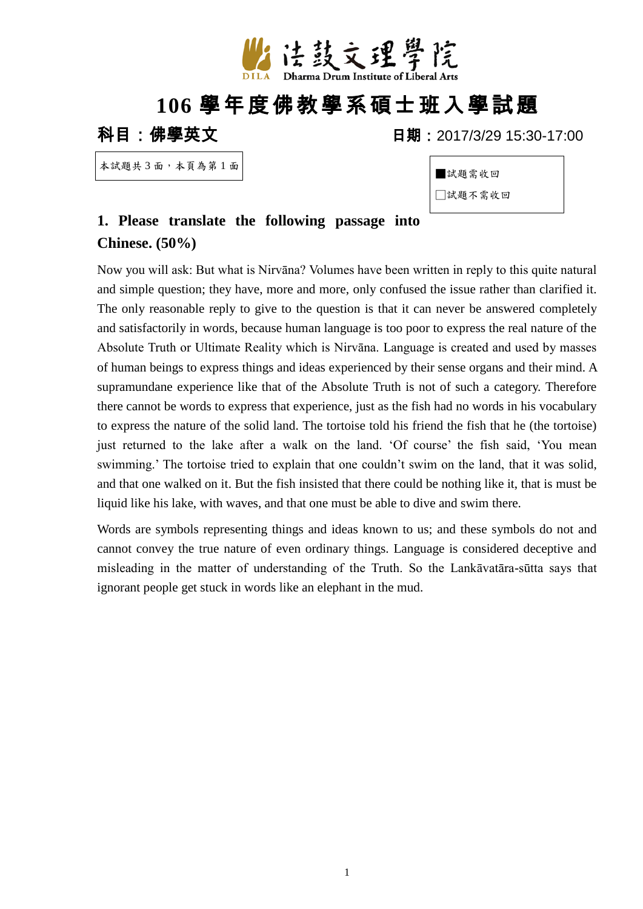

# **106** 學年度佛教學系碩士班入學試題

本試題共 3 面,本頁為第 1 面

**科目:佛學英文 日期:**2017/3/29 15:30-17:00

| ■試題需收回  |  |
|---------|--|
| □試題不需收回 |  |

### **1. Please translate the following passage into Chinese. (50%)**

Now you will ask: But what is Nirvāna? Volumes have been written in reply to this quite natural and simple question; they have, more and more, only confused the issue rather than clarified it. The only reasonable reply to give to the question is that it can never be answered completely and satisfactorily in words, because human language is too poor to express the real nature of the Absolute Truth or Ultimate Reality which is Nirvāna. Language is created and used by masses of human beings to express things and ideas experienced by their sense organs and their mind. A supramundane experience like that of the Absolute Truth is not of such a category. Therefore there cannot be words to express that experience, just as the fish had no words in his vocabulary to express the nature of the solid land. The tortoise told his friend the fish that he (the tortoise) just returned to the lake after a walk on the land. 'Of course' the fish said, 'You mean swimming.' The tortoise tried to explain that one couldn't swim on the land, that it was solid, and that one walked on it. But the fish insisted that there could be nothing like it, that is must be liquid like his lake, with waves, and that one must be able to dive and swim there.

Words are symbols representing things and ideas known to us; and these symbols do not and cannot convey the true nature of even ordinary things. Language is considered deceptive and misleading in the matter of understanding of the Truth. So the Lankāvatāra-sūtta says that ignorant people get stuck in words like an elephant in the mud.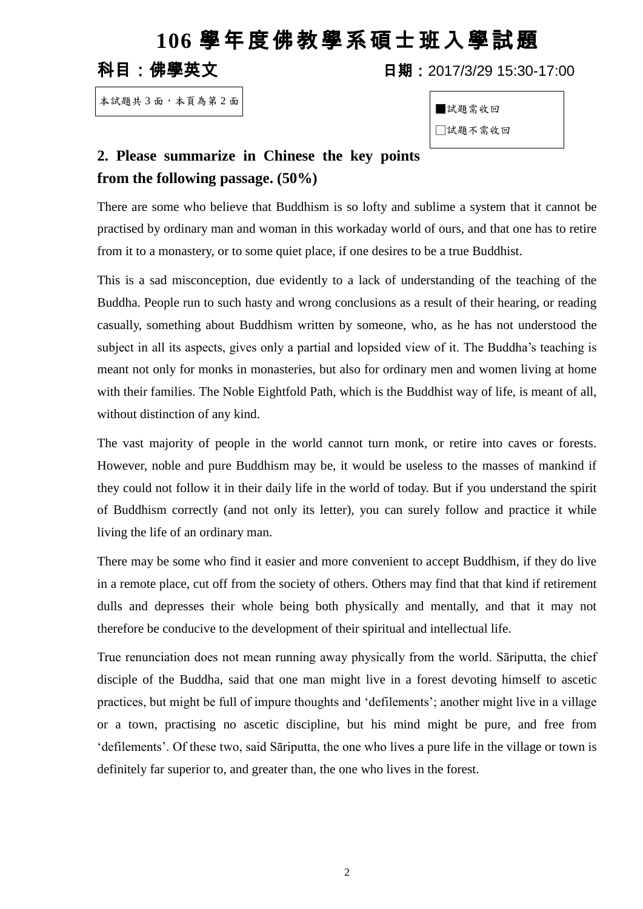## **106** 學年度佛教學系碩士班入學試題

科目:佛學英文 日期:2017/3/29 15:30-17:00

本試題共 3 面,本頁為第 2 面

| ■試題需收回 |  |
|--------|--|
| 試題不需收回 |  |

### **2. Please summarize in Chinese the key points from the following passage. (50%)**

There are some who believe that Buddhism is so lofty and sublime a system that it cannot be practised by ordinary man and woman in this workaday world of ours, and that one has to retire from it to a monastery, or to some quiet place, if one desires to be a true Buddhist.

This is a sad misconception, due evidently to a lack of understanding of the teaching of the Buddha. People run to such hasty and wrong conclusions as a result of their hearing, or reading casually, something about Buddhism written by someone, who, as he has not understood the subject in all its aspects, gives only a partial and lopsided view of it. The Buddha's teaching is meant not only for monks in monasteries, but also for ordinary men and women living at home with their families. The Noble Eightfold Path, which is the Buddhist way of life, is meant of all, without distinction of any kind.

The vast majority of people in the world cannot turn monk, or retire into caves or forests. However, noble and pure Buddhism may be, it would be useless to the masses of mankind if they could not follow it in their daily life in the world of today. But if you understand the spirit of Buddhism correctly (and not only its letter), you can surely follow and practice it while living the life of an ordinary man.

There may be some who find it easier and more convenient to accept Buddhism, if they do live in a remote place, cut off from the society of others. Others may find that that kind if retirement dulls and depresses their whole being both physically and mentally, and that it may not therefore be conducive to the development of their spiritual and intellectual life.

True renunciation does not mean running away physically from the world. Sāriputta, the chief disciple of the Buddha, said that one man might live in a forest devoting himself to ascetic practices, but might be full of impure thoughts and 'defilements'; another might live in a village or a town, practising no ascetic discipline, but his mind might be pure, and free from 'defilements'. Of these two, said Sāriputta, the one who lives a pure life in the village or town is definitely far superior to, and greater than, the one who lives in the forest.